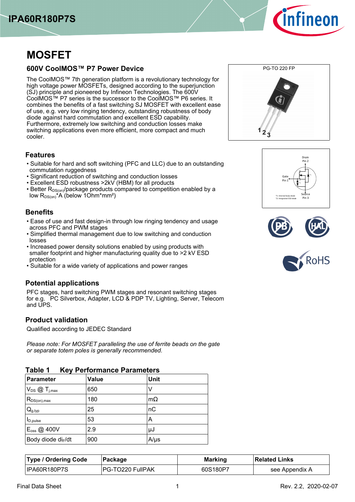



# **MOSFET**

### **600V CoolMOS™ P7 Power Device**

The CoolMOS™ 7th generation platform is a revolutionary technology for high voltage power MOSFETs, designed according to the superjunction (SJ) principle and pioneered by Infineon Technologies. The 600V CoolMOS™ P7 series is the successor to the CoolMOS™ P6 series. It combines the benefits of a fast switching SJ MOSFET with excellent ease of use, e.g. very low ringing tendency, outstanding robustness of body diode against hard commutation and excellent ESD capability. Furthermore, extremely low switching and conduction losses make switching applications even more efficient, more compact and much cooler.



- Suitable for hard and soft switching (PFC and LLC) due to an outstanding commutation ruggedness
- Significant reduction of switching and conduction losses
- Excellent ESD robustness >2kV (HBM) for all products
- Better R<sub>DS(on)</sub>/package products compared to competition enabled by a low R<sub>DS(on)</sub>\*A (below 1Ohm\*mm<sup>2</sup>)

### **Benefits**

- Ease of use and fast design-in through low ringing tendency and usage across PFC and PWM stages
- Simplified thermal management due to low switching and conduction - losses
- Increased power density solutions enabled by using products with smaller footprint and higher manufacturing quality due to >2 kV ESD  protection
- Suitable for a wide variety of applications and power ranges

### **Potential-applications**

PFC stages, hard switching PWM stages and resonant switching stages for e.g. PC Silverbox, Adapter, LCD & PDP TV, Lighting, Server, Telecom and UPS.

### **Product validation**

Qualified according to JEDEC Standard

*Please note: For MOSFET paralleling the use of ferrite beads on the gate or-separate-totem-poles-is-generally-recommended.*

#### **Table-1-----Key-Performance-Parameters**

| <b>Parameter</b>               | <b>Value</b> | Unit      |  |
|--------------------------------|--------------|-----------|--|
| $V_{DS}$ $\oslash$ $T_{j,max}$ | 650          | v         |  |
| $R_{DS(on),max}$               | 180          | $m\Omega$ |  |
| $Q_{g,typ}$                    | 25           | пC        |  |
| D, pulse                       | 53           | Α         |  |
| $E_{\text{oss}}@$ 400V         | 2.9          | μJ        |  |
| Body diode di <sub>F</sub> /dt | 900          | $A/\mu s$ |  |

| <b>Type / Ordering Code</b> | ∣Packaqe         | <b>Marking</b> | <b>Related Links</b> |
|-----------------------------|------------------|----------------|----------------------|
| <b>IPA60R180P7S</b>         | PG-TO220 FullPAK | 60S180P7       | see Appendix A       |







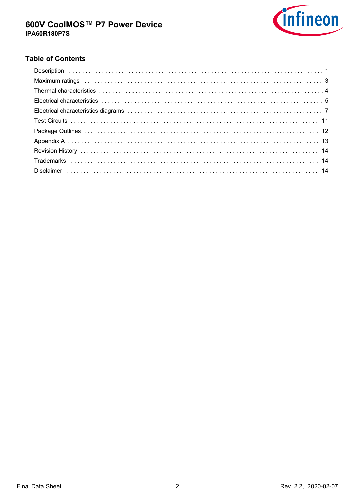

## **Table of Contents**

| Maximum ratings (and the contract of the contract of the contract of the contract of the contract of the contract of the contract of the contract of the contract of the contract of the contract of the contract of the contr |
|--------------------------------------------------------------------------------------------------------------------------------------------------------------------------------------------------------------------------------|
|                                                                                                                                                                                                                                |
|                                                                                                                                                                                                                                |
|                                                                                                                                                                                                                                |
|                                                                                                                                                                                                                                |
|                                                                                                                                                                                                                                |
|                                                                                                                                                                                                                                |
|                                                                                                                                                                                                                                |
|                                                                                                                                                                                                                                |
|                                                                                                                                                                                                                                |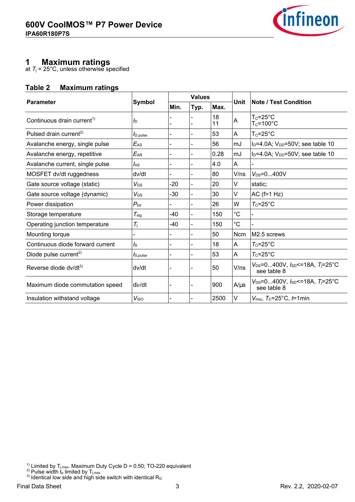

## **1-----Maximum-ratings**

at  $T_{\rm j}$  = 25°C, unless otherwise specified

### **Table-2-----Maximum-ratings**

| <b>Parameter</b>                       |                      | <b>Values</b> |      |          | Unit        | <b>Note / Test Condition</b>                                  |  |
|----------------------------------------|----------------------|---------------|------|----------|-------------|---------------------------------------------------------------|--|
|                                        | Symbol               | Min.          | Typ. | Max.     |             |                                                               |  |
| Continuous drain current <sup>1)</sup> | $I_{\mathsf{D}}$     |               |      | 18<br>11 | A           | $T_c = 25^\circ C$<br>$T_c = 100^{\circ}$ C                   |  |
| Pulsed drain current <sup>2)</sup>     | $I_{\text{D,pulse}}$ |               |      | 53       | A           | $T_c = 25^{\circ}C$                                           |  |
| Avalanche energy, single pulse         | $E_{AS}$             |               |      | 56       | mJ          | $I_D = 4.0A$ ; $V_{DD} = 50V$ ; see table 10                  |  |
| Avalanche energy, repetitive           | $E_{AR}$             |               |      | 0.28     | mJ          | $I_D = 4.0A$ ; $V_{DD} = 50V$ ; see table 10                  |  |
| Avalanche current, single pulse        | $I_{AS}$             |               |      | 4.0      | A           |                                                               |  |
| MOSFET dv/dt ruggedness                | dv/dt                |               |      | 80       | V/ns        | $V_{DS} = 0400V$                                              |  |
| Gate source voltage (static)           | $V_{GS}$             | -20           |      | 20       | V           | static;                                                       |  |
| Gate source voltage (dynamic)          | $V_{GS}$             | $-30$         |      | 30       | V           | $AC$ ( $f > 1$ Hz)                                            |  |
| Power dissipation                      | $P_{\rm tot}$        |               |      | 26       | W           | $T_c = 25^{\circ}C$                                           |  |
| Storage temperature                    | $\tau_{\text{stg}}$  | -40           |      | 150      | $^{\circ}C$ |                                                               |  |
| Operating junction temperature         | $T_{\rm j}$          | -40           |      | 150      | $^{\circ}C$ |                                                               |  |
| Mounting torque                        |                      |               |      | 50       | <b>Ncm</b>  | M2.5 screws                                                   |  |
| Continuous diode forward current       | $I_{\rm S}$          |               |      | 18       | A           | $T_c = 25^{\circ}$ C                                          |  |
| Diode pulse current <sup>2)</sup>      | I <sub>S,pulse</sub> |               |      | 53       | A           | $T_c = 25^{\circ}C$                                           |  |
| Reverse diode dv/dt <sup>3)</sup>      | dv/dt                |               |      | 50       | V/ns        | $V_{DS}$ =0400V, $I_{SD}$ <=18A, $T_i$ =25°C<br>see table 8   |  |
| Maximum diode commutation speed        | $di_F/dt$            |               |      | 900      | $A/\mu s$   | $V_{DS}$ =0400V, $I_{SD}$ <=18A, $T_{I}$ =25°C<br>see table 8 |  |
| Insulation withstand voltage           | V <sub>ISO</sub>     |               |      | 2500     | V           | $V_{\text{rms}}$ , $T_{\text{C}}$ =25°C, t=1min               |  |

<sup>1)</sup> Limited by T<sub>j,max</sub>. Maximum Duty Cycle D = 0.50; TO-220 equivalent

<sup>&</sup>lt;sup>2)</sup> Pulse width  $t_p$  limited by  $T_{j,\text{max}}$  $^{3)}$  Identical low side and high side switch with identical R $_{\rm G}$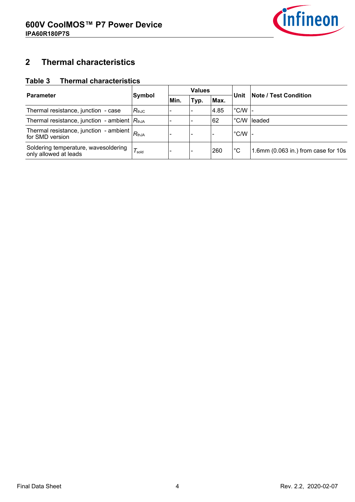

#### **2--Thermal-characteristics**

### **Table-3-----Thermal-characteristics**

|                                                                    |            | <b>Values</b> |      |      | Unit                     |                                     |  |
|--------------------------------------------------------------------|------------|---------------|------|------|--------------------------|-------------------------------------|--|
| <b>Parameter</b>                                                   | Symbol     | Min.          | Typ. | Max. |                          | <b>Note / Test Condition</b>        |  |
| Thermal resistance, junction - case                                | $R_{thJC}$ |               |      | 4.85 | $^{\circ}$ C/W $\vert$ - |                                     |  |
| Thermal resistance, junction - ambient $ R_{\text{thJA}} $         |            |               |      | 62   | $\degree$ C/W            | leaded                              |  |
| Thermal resistance, junction - ambient $R_{th}$<br>for SMD version |            |               |      |      | $^{\circ}$ C/W $ $       |                                     |  |
| Soldering temperature, wavesoldering<br>only allowed at leads      | I sold     |               |      | 260  | °С                       | 1.6mm (0.063 in.) from case for 10s |  |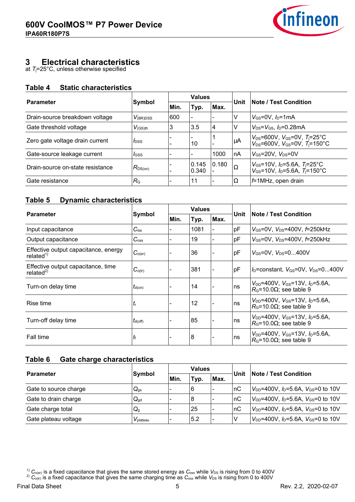

#### **3--Electrical-characteristics**

at *T*j=25°C, unless otherwise specified

#### **Table-4---Static-characteristics**

|                                  | Symbol                  |      | <b>Values</b>            |                 |          |                                                                                                                                                      |
|----------------------------------|-------------------------|------|--------------------------|-----------------|----------|------------------------------------------------------------------------------------------------------------------------------------------------------|
| <b>Parameter</b>                 |                         | Min. | Typ.                     | Max.            | Unit     | <b>Note / Test Condition</b>                                                                                                                         |
| Drain-source breakdown voltage   | $V_{(BR)DSS}$           | 600  | $\overline{\phantom{a}}$ |                 |          | $V_{\text{GS}} = 0V$ , $I_{\text{D}} = 1 \text{mA}$                                                                                                  |
| Gate threshold voltage           | $V_{(GS)th}$            | 3    | 3.5                      | 4               |          | $V_{DS} = V_{GS}$ , $I_D = 0.28 \text{mA}$                                                                                                           |
| Zero gate voltage drain current  | <i>l</i> <sub>DSS</sub> |      | 10                       |                 | μA       | $V_{DS} = 600V$ , $V_{GS} = 0V$ , $T_{i} = 25^{\circ}C$<br>$V_{DS}$ =600V, $V_{GS}$ =0V, $T_1$ =150°C                                                |
| Gate-source leakage current      | <i>I</i> GSS            |      |                          | 1000            | nA       | $V_{GS}$ =20V, $V_{DS}$ =0V                                                                                                                          |
| Drain-source on-state resistance | $R_{DS(on)}$            |      | 0.145<br>0.340           | $ 0.180\rangle$ | $\Omega$ | $V_{\text{GS}} = 10V$ , $I_{\text{D}} = 5.6A$ , $T_{\text{I}} = 25^{\circ}C$<br>$V_{\text{GS}} = 10V$ , $I_{\text{D}} = 5.6A$ , $T_1 = 150^{\circ}C$ |
| Gate resistance                  | $R_{\rm G}$             |      | 11                       |                 | $\Omega$ | $f=1$ MHz, open drain                                                                                                                                |

#### **Table-5---Dynamic-characteristics**

|                                                              |                     | <b>Values</b> |      |      |      |                                                                                            |
|--------------------------------------------------------------|---------------------|---------------|------|------|------|--------------------------------------------------------------------------------------------|
| <b>Parameter</b>                                             | Symbol              | Min.          | Typ. | Max. | Unit | <b>Note / Test Condition</b>                                                               |
| Input capacitance                                            | $C_{iss}$           |               | 1081 |      | pF   | $V_{\rm GS}$ =0V, $V_{\rm DS}$ =400V, f=250kHz                                             |
| Output capacitance                                           | $C_{\rm oss}$       |               | 19   |      | pF   | $V_{\rm GS}$ =0V, $V_{\rm DS}$ =400V, $\neq$ 250kHz                                        |
| Effective output capacitance, energy<br>related <sup>1</sup> | $C_{o(er)}$         |               | 36   |      | pF   | $V_{\rm GS} = 0V$ , $V_{\rm DS} = 0400V$                                                   |
| Effective output capacitance, time<br>related $^{2)}$        | $C_{o(tr)}$         |               | 381  |      | pF   | $I_D$ =constant, $V_{GS}$ =0V, $V_{DS}$ =0400V                                             |
| Turn-on delay time                                           | $t_{d(on)}$         |               | 14   |      | ∣ns  | $V_{DD}$ =400V, $V_{GS}$ =13V, $I_D$ =5.6A,<br>$R_{\text{G}}$ =10.0 $\Omega$ ; see table 9 |
| Rise time                                                    | $t_{\rm r}$         |               | 12   |      | ns   | $V_{DD}$ =400V, $V_{GS}$ =13V, $I_D$ =5.6A,<br>$R_{\text{G}}$ =10.0 $\Omega$ ; see table 9 |
| Turn-off delay time                                          | $t_{d(\text{off})}$ |               | 85   |      | ∣ns  | $V_{DD}$ =400V, $V_{GS}$ =13V, $I_D$ =5.6A,<br>$R_{G}$ =10.0 $\Omega$ ; see table 9        |
| Fall time                                                    | tı                  |               | 8    |      | ∣ns  | $V_{DD}$ =400V, $V_{GS}$ =13V, $I_D$ =5.6A,<br>$R_{\text{G}}$ =10.0 $\Omega$ ; see table 9 |

#### **Table-6-----Gate-charge-characteristics**

| <b>Parameter</b>      | Symbol                     | <b>Values</b> |      |      |      |                                                 |
|-----------------------|----------------------------|---------------|------|------|------|-------------------------------------------------|
|                       |                            | Min.          | Typ. | Max. | Unit | <b>Note / Test Condition</b>                    |
| Gate to source charge | $\mathsf{Q}_{\mathsf{gs}}$ |               | 16   | -    | пC   | $V_{DD}$ =400V, $I_D$ =5.6A, $V_{GS}$ =0 to 10V |
| Gate to drain charge  | $\mathsf{Q}_{\mathsf{gd}}$ |               | 8    |      | nC   | $V_{DD}$ =400V, $I_D$ =5.6A, $V_{GS}$ =0 to 10V |
| Gate charge total     | $Q_{q}$                    |               | 25   |      | nC   | $V_{DD}$ =400V, $I_D$ =5.6A, $V_{GS}$ =0 to 10V |
| Gate plateau voltage  | $V_{\rm plateau}$          |               | 5.2  | -    | V    | $V_{DD}$ =400V, $I_D$ =5.6A, $V_{GS}$ =0 to 10V |

<sup>1)</sup>  $C_{o(\text{er})}$  is a fixed capacitance that gives the same stored energy as  $C_{\text{oss}}$  while  $V_{\text{DS}}$  is rising from 0 to 400V

<sup>2)</sup>  $C_{\text{o(tr)}}$  is a fixed capacitance that gives the same charging time as  $C_{\text{oss}}$  while  $V_{\text{DS}}$  is rising from 0 to 400V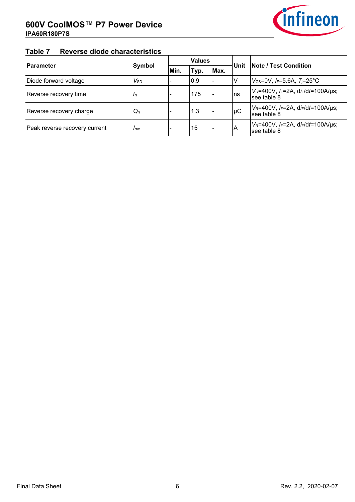

### **Table-7-----Reverse-diode-characteristics**

| <b>Parameter</b>              | <b>Symbol</b>          | <b>Values</b> |      |      | Unit    | <b>Note / Test Condition</b>                                        |
|-------------------------------|------------------------|---------------|------|------|---------|---------------------------------------------------------------------|
|                               |                        | Min.          | Typ. | Max. |         |                                                                     |
| Diode forward voltage         | $V_{\rm SD}$           |               | 0.9  |      |         | $V_{\text{GS}} = 0V$ , $I_F = 5.6A$ , $T_I = 25^{\circ}C$           |
| Reverse recovery time         | $t_{\rm rr}$           |               | 175  |      | ns      | $V_R$ =400V, $I_F$ =2A, di <sub>F</sub> /dt=100A/µs;<br>see table 8 |
| Reverse recovery charge       | $Q_{rr}$               |               | 1.3  |      | $\mu$ C | $V_R$ =400V, $I_F$ =2A, di <sub>F</sub> /dt=100A/µs;<br>see table 8 |
| Peak reverse recovery current | <i>I</i> <sub>rm</sub> |               | 15   |      | Α       | $V_R$ =400V, $I_F$ =2A, $di_F/dt$ =100A/ $\mu$ s;<br>see table 8    |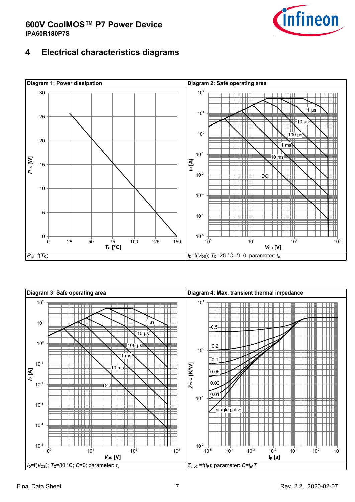

#### **4--Electrical-characteristics-diagrams**



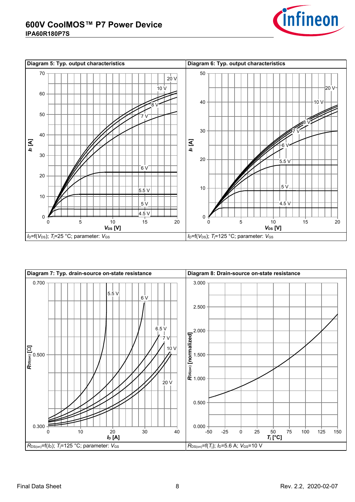



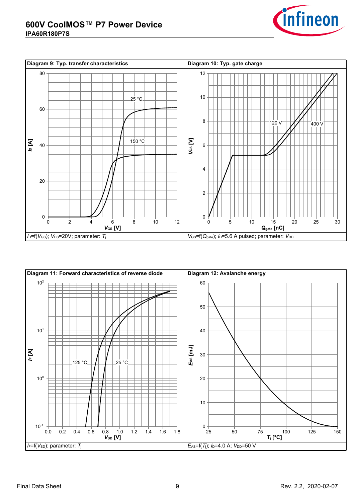



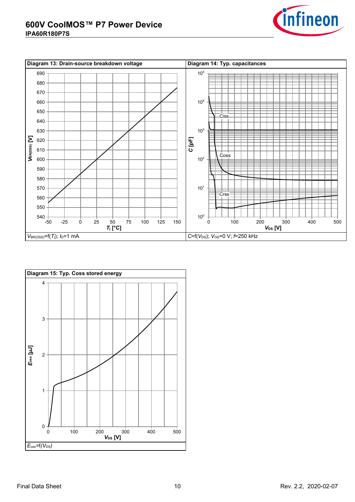



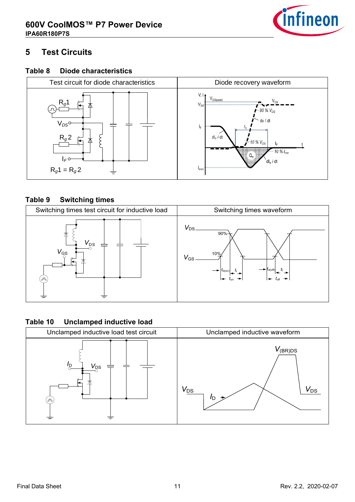

#### **5--Test-Circuits**

#### **Table-8--Diode-characteristics**



#### **Table-9--Switching-times**



#### **Table-10--Unclamped-inductive-load**

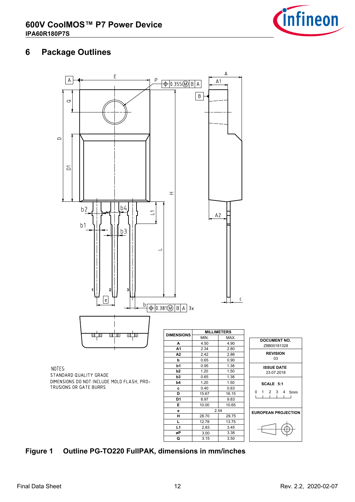

#### **6--Package-Outlines**



#### **Figure-1-Outline PG-TO220 FullPAK, dimensions in mm/inches**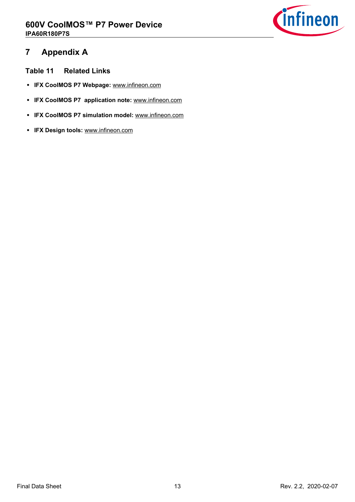

#### **7--Appendix-A**

**Table-11--Related-Links**

- **IFX-CoolMOS-P7-Webpage:** [www.infineon.com](http://www.infineon.com/P7)
- **IFX-CoolMOS-P7--application-note:** [www.infineon.com](http://www.infineon.com/P7)
- **IFX-CoolMOS-P7-simulation-model:** [www.infineon.com](http://www.infineon.com/P7)
- **IFX-Design-tools:** [www.infineon.com](http://www.infineon.com/tools)